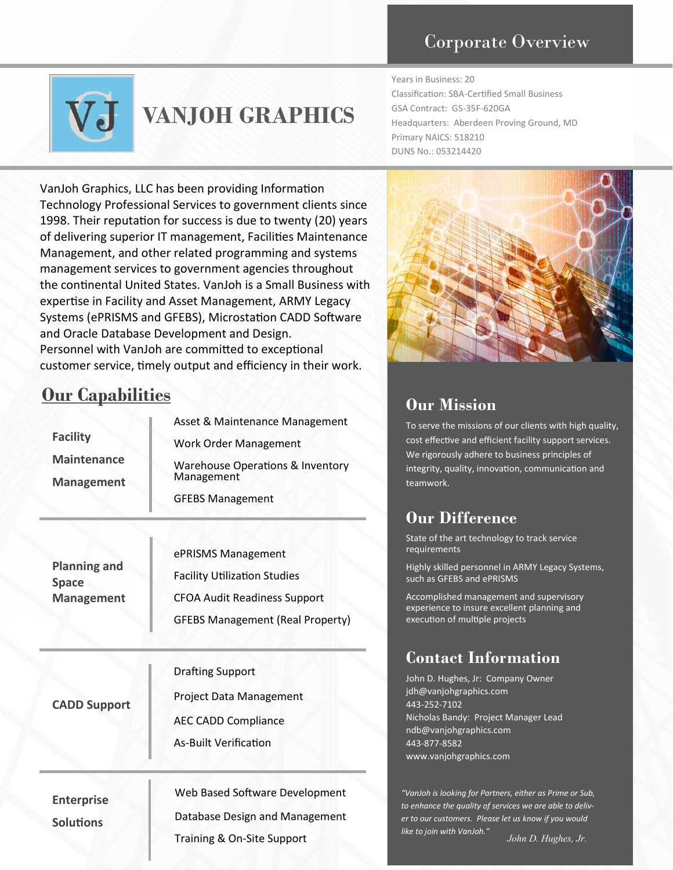### Corporate Overview



# **VANJOH GRAPHICS**

Years in Business: 20 Classification: SBA-Certified Small Business GSA Contract: GS-35F-620GA Headquarters: Aberdeen Proving Ground, MD Primary NAICS: 518210 DUNS No.: 053214420

VanJoh Graphics, LLC has been providing Information Technology Professional Services to government clients since 1998. Their reputation for success is due to twenty (20) years of delivering superior IT management, Facilities Maintenance Management, and other related programming and systems management services to government agencies throughout the continental United States. VanJoh is a Small Business with expertise in Facility and Asset Management, ARMY Legacy Systems (ePRISMS and GFEBS), Microstation CADD Software and Oracle Database Development and Design. Personnel with VanJoh are committed to exceptional customer service, timely output and efficiency in their work.

## **Our Capabilities**

| <b>Facility</b><br><b>Maintenance</b><br><b>Management</b> | Asset & Maintenance Management<br><b>Work Order Management</b><br>Warehouse Operations & Inventory<br>Management<br><b>GFEBS Management</b> |
|------------------------------------------------------------|---------------------------------------------------------------------------------------------------------------------------------------------|
|                                                            |                                                                                                                                             |

|                                     | ePRISMS Management                      |  |  |  |  |
|-------------------------------------|-----------------------------------------|--|--|--|--|
| <b>Planning and</b><br><b>Space</b> | <b>Facility Utilization Studies</b>     |  |  |  |  |
| <b>Management</b>                   | <b>CFOA Audit Readiness Support</b>     |  |  |  |  |
|                                     | <b>GFEBS Management (Real Property)</b> |  |  |  |  |

| <b>CADD Support</b>                   | <b>Drafting Support</b><br>Project Data Management<br>AEC CADD Compliance<br><b>As-Built Verification</b> |
|---------------------------------------|-----------------------------------------------------------------------------------------------------------|
| <b>Enterprise</b><br><b>Solutions</b> | Web Based Software Development<br>Database Design and Management<br>Training & On-Site Support            |



#### **Our Mission**

To serve the missions of our clients with high quality, cost effective and efficient facility support services. We rigorously adhere to business principles of integrity, quality, innovation, communication and teamwork.

### **Our Difference**

State of the art technology to track service requirements

Highly skilled personnel in ARMY Legacy Systems, such as GFEBS and ePRISMS

Accomplished management and supervisory experience to insure excellent planning and execution of multiple projects

### **Contact Information**

John D. Hughes, Jr: Company Owner jdh@vanjohgraphics.com 443-252-7102 Nicholas Bandy: Project Manager Lead ndb@vanjohgraphics.com 443-877-8582 www.vanjohgraphics.com

*"VanJoh is looking for Partners, either as Prime or Sub, to enhance the quality of services we are able to deliver to our customers. Please let us know if you would like to join with VanJoh."*

*John D. Hughes, Jr.*